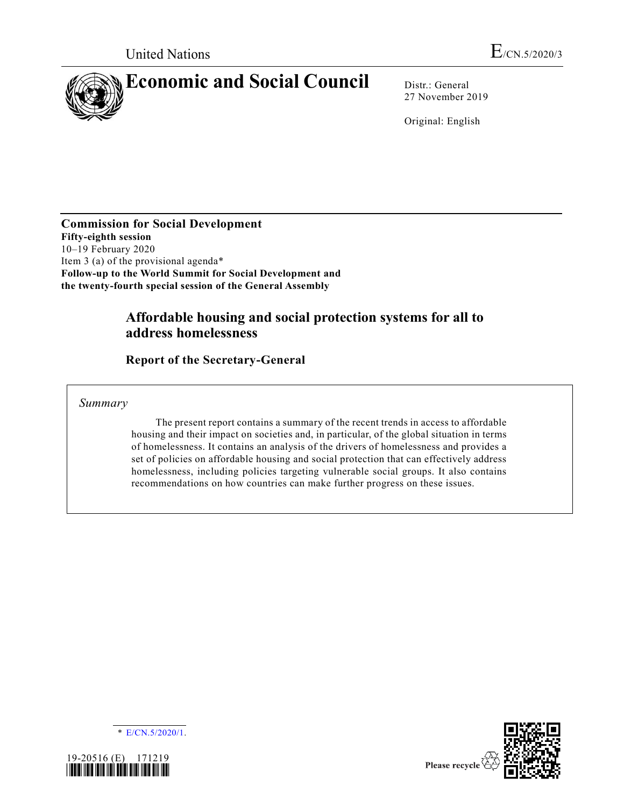

27 November 2019

Original: English

**Commission for Social Development Fifty-eighth session**  10–19 February 2020 Item 3 (a) of the provisional agenda\* **Follow-up to the World Summit for Social Development and the twenty-fourth special session of the General Assembly**

# **Affordable housing and social protection systems for all to address homelessness**

**Report of the Secretary-General**

*Summary*

The present report contains a summary of the recent trends in access to affordable housing and their impact on societies and, in particular, of the global situation in terms of homelessness. It contains an analysis of the drivers of homelessness and provides a set of policies on affordable housing and social protection that can effectively address homelessness, including policies targeting vulnerable social groups. It also contains recommendations on how countries can make further progress on these issues.





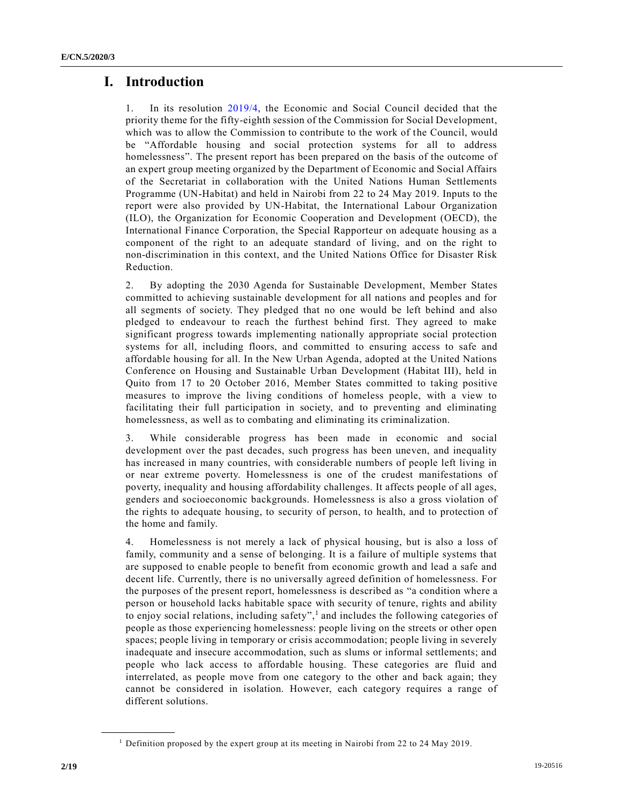# **I. Introduction**

1. In its resolution [2019/4,](https://undocs.org/en/E/RES/2019/4) the Economic and Social Council decided that the priority theme for the fifty-eighth session of the Commission for Social Development, which was to allow the Commission to contribute to the work of the Council, would be "Affordable housing and social protection systems for all to address homelessness". The present report has been prepared on the basis of the outcome of an expert group meeting organized by the Department of Economic and Social Affairs of the Secretariat in collaboration with the United Nations Human Settlements Programme (UN-Habitat) and held in Nairobi from 22 to 24 May 2019. Inputs to the report were also provided by UN-Habitat, the International Labour Organization (ILO), the Organization for Economic Cooperation and Development (OECD), the International Finance Corporation, the Special Rapporteur on adequate housing as a component of the right to an adequate standard of living, and on the right to non-discrimination in this context, and the United Nations Office for Disaster Risk Reduction.

2. By adopting the 2030 Agenda for Sustainable Development, Member States committed to achieving sustainable development for all nations and peoples and for all segments of society. They pledged that no one would be left behind and also pledged to endeavour to reach the furthest behind first. They agreed to make significant progress towards implementing nationally appropriate social protection systems for all, including floors, and committed to ensuring access to safe and affordable housing for all. In the New Urban Agenda, adopted at the United Nations Conference on Housing and Sustainable Urban Development (Habitat III), held in Quito from 17 to 20 October 2016, Member States committed to taking positive measures to improve the living conditions of homeless people, with a view to facilitating their full participation in society, and to preventing and eliminating homelessness, as well as to combating and eliminating its criminalization.

3. While considerable progress has been made in economic and social development over the past decades, such progress has been uneven, and inequality has increased in many countries, with considerable numbers of people left living in or near extreme poverty. Homelessness is one of the crudest manifestations of poverty, inequality and housing affordability challenges. It affects people of all ages, genders and socioeconomic backgrounds. Homelessness is also a gross violation of the rights to adequate housing, to security of person, to health, and to protection of the home and family.

4. Homelessness is not merely a lack of physical housing, but is also a loss of family, community and a sense of belonging. It is a failure of multiple systems that are supposed to enable people to benefit from economic growth and lead a safe and decent life. Currently, there is no universally agreed definition of homelessness. For the purposes of the present report, homelessness is described as "a condition where a person or household lacks habitable space with security of tenure, rights and ability to enjoy social relations, including safety",<sup>1</sup> and includes the following categories of people as those experiencing homelessness: people living on the streets or other open spaces; people living in temporary or crisis accommodation; people living in severely inadequate and insecure accommodation, such as slums or informal settlements; and people who lack access to affordable housing. These categories are fluid and interrelated, as people move from one category to the other and back again; they cannot be considered in isolation. However, each category requires a range of different solutions.

<sup>&</sup>lt;sup>1</sup> Definition proposed by the expert group at its meeting in Nairobi from 22 to 24 May 2019.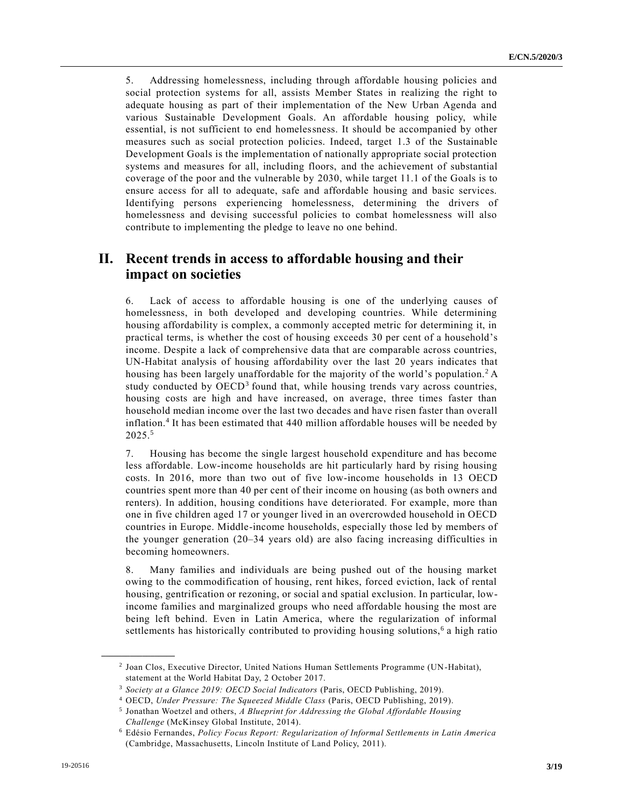5. Addressing homelessness, including through affordable housing policies and social protection systems for all, assists Member States in realizing the right to adequate housing as part of their implementation of the New Urban Agenda and various Sustainable Development Goals. An affordable housing policy, while essential, is not sufficient to end homelessness. It should be accompanied by other measures such as social protection policies. Indeed, target 1.3 of the Sustainable Development Goals is the implementation of nationally appropriate social protection systems and measures for all, including floors, and the achievement of substantial coverage of the poor and the vulnerable by 2030, while target 11.1 of the Goals is to ensure access for all to adequate, safe and affordable housing and basic services. Identifying persons experiencing homelessness, determining the drivers of homelessness and devising successful policies to combat homelessness will also contribute to implementing the pledge to leave no one behind.

# **II. Recent trends in access to affordable housing and their impact on societies**

6. Lack of access to affordable housing is one of the underlying causes of homelessness, in both developed and developing countries. While determining housing affordability is complex, a commonly accepted metric for determining it, in practical terms, is whether the cost of housing exceeds 30 per cent of a household's income. Despite a lack of comprehensive data that are comparable across countries, UN-Habitat analysis of housing affordability over the last 20 years indicates that housing has been largely unaffordable for the majority of the world's population.<sup>2</sup> A study conducted by  $OECD<sup>3</sup>$  found that, while housing trends vary across countries, housing costs are high and have increased, on average, three times faster than household median income over the last two decades and have risen faster than overall inflation.<sup>4</sup> It has been estimated that 440 million affordable houses will be needed by 2025. 5

7. Housing has become the single largest household expenditure and has become less affordable. Low-income households are hit particularly hard by rising housing costs. In 2016, more than two out of five low-income households in 13 OECD countries spent more than 40 per cent of their income on housing (as both owners and renters). In addition, housing conditions have deteriorated. For example, more than one in five children aged 17 or younger lived in an overcrowded household in OECD countries in Europe. Middle-income households, especially those led by members of the younger generation (20–34 years old) are also facing increasing difficulties in becoming homeowners.

8. Many families and individuals are being pushed out of the housing market owing to the commodification of housing, rent hikes, forced eviction, lack of rental housing, gentrification or rezoning, or social and spatial exclusion. In particular, lowincome families and marginalized groups who need affordable housing the most are being left behind. Even in Latin America, where the regularization of informal settlements has historically contributed to providing housing solutions,<sup>6</sup> a high ratio

<sup>2</sup> Joan Clos, Executive Director, United Nations Human Settlements Programme (UN-Habitat), statement at the World Habitat Day, 2 October 2017.

<sup>3</sup> *Society at a Glance 2019: OECD Social Indicators* (Paris, OECD Publishing, 2019).

<sup>4</sup> OECD, *Under Pressure: The Squeezed Middle Class* (Paris, OECD Publishing, 2019).

<sup>5</sup> Jonathan Woetzel and others, *A Blueprint for Addressing the Global Affordable Housing Challenge* (McKinsey Global Institute, 2014).

<sup>6</sup> Edésio Fernandes, *Policy Focus Report: Regularization of Informal Settlements in Latin America* (Cambridge, Massachusetts, Lincoln Institute of Land Policy, 2011).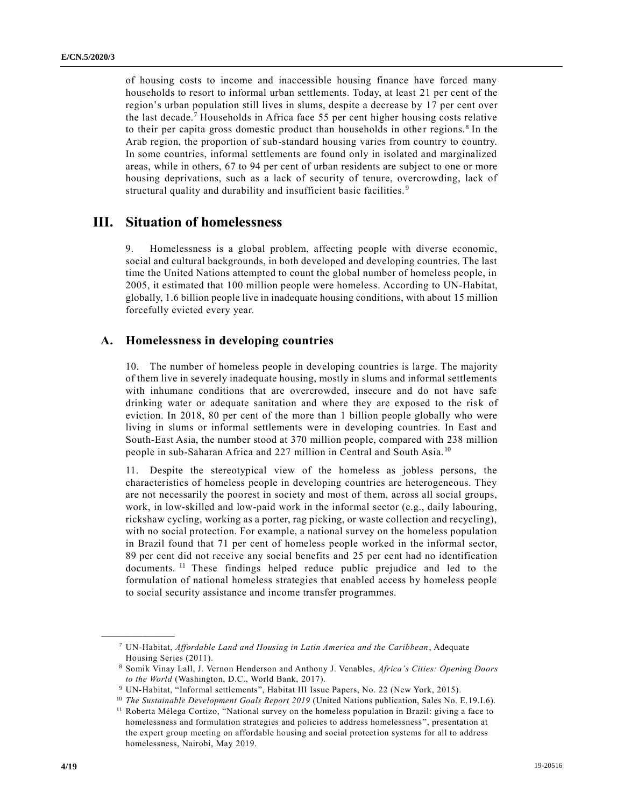of housing costs to income and inaccessible housing finance have forced many households to resort to informal urban settlements. Today, at least 21 per cent of the region's urban population still lives in slums, despite a decrease by 17 per cent over the last decade.<sup>7</sup> Households in Africa face 55 per cent higher housing costs relative to their per capita gross domestic product than households in other regions.<sup>8</sup> In the Arab region, the proportion of sub-standard housing varies from country to country. In some countries, informal settlements are found only in isolated and marginalized areas, while in others, 67 to 94 per cent of urban residents are subject to one or more housing deprivations, such as a lack of security of tenure, overcrowding, lack of structural quality and durability and insufficient basic facilities.<sup>9</sup>

## **III. Situation of homelessness**

9. Homelessness is a global problem, affecting people with diverse economic, social and cultural backgrounds, in both developed and developing countries. The last time the United Nations attempted to count the global number of homeless people, in 2005, it estimated that 100 million people were homeless. According to UN-Habitat, globally, 1.6 billion people live in inadequate housing conditions, with about 15 million forcefully evicted every year.

### **A. Homelessness in developing countries**

10. The number of homeless people in developing countries is large. The majority of them live in severely inadequate housing, mostly in slums and informal settlements with inhumane conditions that are overcrowded, insecure and do not have safe drinking water or adequate sanitation and where they are exposed to the risk of eviction. In 2018, 80 per cent of the more than 1 billion people globally who were living in slums or informal settlements were in developing countries. In East and South-East Asia, the number stood at 370 million people, compared with 238 million people in sub-Saharan Africa and 227 million in Central and South Asia.<sup>10</sup>

11. Despite the stereotypical view of the homeless as jobless persons, the characteristics of homeless people in developing countries are heterogeneous. They are not necessarily the poorest in society and most of them, across all social groups, work, in low-skilled and low-paid work in the informal sector (e.g., daily labouring, rickshaw cycling, working as a porter, rag picking, or waste collection and recycling), with no social protection. For example, a national survey on the homeless population in Brazil found that 71 per cent of homeless people worked in the informal sector, 89 per cent did not receive any social benefits and 25 per cent had no identification documents.<sup>11</sup> These findings helped reduce public prejudice and led to the formulation of national homeless strategies that enabled access by homeless people to social security assistance and income transfer programmes.

<sup>7</sup> UN-Habitat, *Affordable Land and Housing in Latin America and the Caribbean*, Adequate Housing Series (2011).

<sup>8</sup> Somik Vinay Lall, J. Vernon Henderson and Anthony J. Venables, *Africa's Cities: Opening Doors to the World* (Washington, D.C., World Bank, 2017).

<sup>9</sup> UN-Habitat, "Informal settlements", Habitat III Issue Papers, No. 22 (New York, 2015).

<sup>&</sup>lt;sup>10</sup> *The Sustainable Development Goals Report 2019* (United Nations publication, Sales No. E.19.I.6).

<sup>11</sup> Roberta Mélega Cortizo, "National survey on the homeless population in Brazil: giving a face to homelessness and formulation strategies and policies to address homelessness", presentation at the expert group meeting on affordable housing and social protection systems for all to address homelessness, Nairobi, May 2019.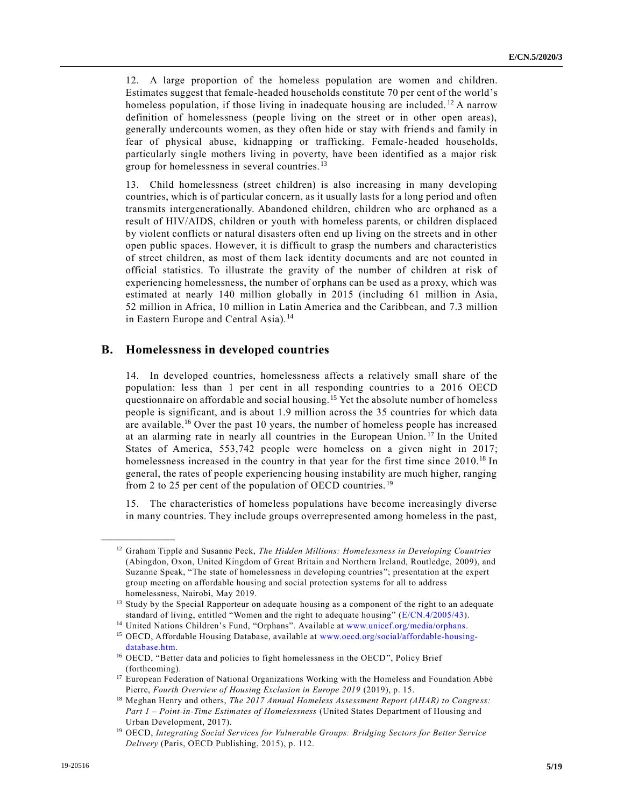12. A large proportion of the homeless population are women and children. Estimates suggest that female-headed households constitute 70 per cent of the world's homeless population, if those living in inadequate housing are included.<sup>12</sup> A narrow definition of homelessness (people living on the street or in other open areas), generally undercounts women, as they often hide or stay with friends and family in fear of physical abuse, kidnapping or trafficking. Female-headed households, particularly single mothers living in poverty, have been identified as a major risk group for homelessness in several countries.<sup>13</sup>

13. Child homelessness (street children) is also increasing in many developing countries, which is of particular concern, as it usually lasts for a long period and often transmits intergenerationally. Abandoned children, children who are orphaned as a result of HIV/AIDS, children or youth with homeless parents, or children displaced by violent conflicts or natural disasters often end up living on the streets and in other open public spaces. However, it is difficult to grasp the numbers and characteristics of street children, as most of them lack identity documents and are not counted in official statistics. To illustrate the gravity of the number of children at risk of experiencing homelessness, the number of orphans can be used as a proxy, which was estimated at nearly 140 million globally in 2015 (including 61 million in Asia, 52 million in Africa, 10 million in Latin America and the Caribbean, and 7.3 million in Eastern Europe and Central Asia).<sup>14</sup>

### **B. Homelessness in developed countries**

14. In developed countries, homelessness affects a relatively small share of the population: less than 1 per cent in all responding countries to a 2016 OECD questionnaire on affordable and social housing. <sup>15</sup> Yet the absolute number of homeless people is significant, and is about 1.9 million across the 35 countries for which data are available.<sup>16</sup> Over the past 10 years, the number of homeless people has increased at an alarming rate in nearly all countries in the European Union.<sup>17</sup> In the United States of America, 553,742 people were homeless on a given night in 2017; homelessness increased in the country in that year for the first time since 2010.<sup>18</sup> In general, the rates of people experiencing housing instability are much higher, ranging from 2 to 25 per cent of the population of OECD countries.<sup>19</sup>

15. The characteristics of homeless populations have become increasingly diverse in many countries. They include groups overrepresented among homeless in the past,

<sup>12</sup> Graham Tipple and Susanne Peck, *The Hidden Millions: Homelessness in Developing Countries* (Abingdon, Oxon, United Kingdom of Great Britain and Northern Ireland, Routledge, 2009), and Suzanne Speak, "The state of homelessness in developing countries"; presentation at the expert group meeting on affordable housing and social protection systems for all to address homelessness, Nairobi, May 2019.

<sup>&</sup>lt;sup>13</sup> Study by the Special Rapporteur on adequate housing as a component of the right to an adequate standard of living, entitled "Women and the right to adequate housing" [\(E/CN.4/2005/43\)](https://undocs.org/en/E/CN.4/2005/43).

<sup>14</sup> United Nations Children's Fund, "Orphans". Available at [www.unicef.org/media/orphans.](http://www.unicef.org/media/orphans)

<sup>&</sup>lt;sup>15</sup> OECD, Affordable Housing Database, available at [www.oecd.org/social/affordable-housing](http://www.oecd.org/social/affordable-housing-database.htm)[database.htm.](http://www.oecd.org/social/affordable-housing-database.htm)

<sup>&</sup>lt;sup>16</sup> OECD, "Better data and policies to fight homelessness in the OECD", Policy Brief (forthcoming).

<sup>&</sup>lt;sup>17</sup> European Federation of National Organizations Working with the Homeless and Foundation Abbé Pierre, *Fourth Overview of Housing Exclusion in Europe 2019* (2019), p. 15.

<sup>18</sup> Meghan Henry and others, *The 2017 Annual Homeless Assessment Report (AHAR) to Congress: Part 1 – Point-in-Time Estimates of Homelessness* (United States Department of Housing and Urban Development, 2017).

<sup>19</sup> OECD, *Integrating Social Services for Vulnerable Groups: Bridging Sectors for Better Service Delivery* (Paris, OECD Publishing, 2015), p. 112.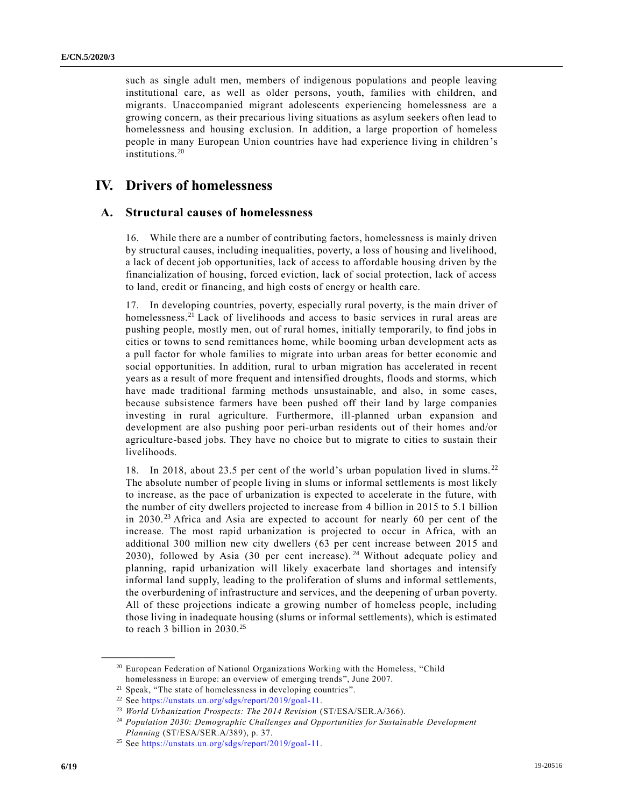such as single adult men, members of indigenous populations and people leaving institutional care, as well as older persons, youth, families with children, and migrants. Unaccompanied migrant adolescents experiencing homelessness are a growing concern, as their precarious living situations as asylum seekers often lead to homelessness and housing exclusion. In addition, a large proportion of homeless people in many European Union countries have had experience living in children 's institutions.<sup>20</sup>

# **IV. Drivers of homelessness**

### **A. Structural causes of homelessness**

16. While there are a number of contributing factors, homelessness is mainly driven by structural causes, including inequalities, poverty, a loss of housing and livelihood, a lack of decent job opportunities, lack of access to affordable housing driven by the financialization of housing, forced eviction, lack of social protection, lack of access to land, credit or financing, and high costs of energy or health care.

17. In developing countries, poverty, especially rural poverty, is the main driver of homelessness.<sup>21</sup> Lack of livelihoods and access to basic services in rural areas are pushing people, mostly men, out of rural homes, initially temporarily, to find jobs in cities or towns to send remittances home, while booming urban development acts as a pull factor for whole families to migrate into urban areas for better economic and social opportunities. In addition, rural to urban migration has accelerated in recent years as a result of more frequent and intensified droughts, floods and storms, which have made traditional farming methods unsustainable, and also, in some cases, because subsistence farmers have been pushed off their land by large companies investing in rural agriculture. Furthermore, ill-planned urban expansion and development are also pushing poor peri-urban residents out of their homes and/or agriculture-based jobs. They have no choice but to migrate to cities to sustain their livelihoods.

18. In 2018, about 23.5 per cent of the world's urban population lived in slums. <sup>22</sup> The absolute number of people living in slums or informal settlements is most likely to increase, as the pace of urbanization is expected to accelerate in the future, with the number of city dwellers projected to increase from 4 billion in 2015 to 5.1 billion in 2030.<sup>23</sup> Africa and Asia are expected to account for nearly 60 per cent of the increase. The most rapid urbanization is projected to occur in Africa, with an additional 300 million new city dwellers (63 per cent increase between 2015 and 2030), followed by Asia  $(30 \text{ per cent increase})$ . <sup>24</sup> Without adequate policy and planning, rapid urbanization will likely exacerbate land shortages and intensify informal land supply, leading to the proliferation of slums and informal settlements, the overburdening of infrastructure and services, and the deepening of urban poverty. All of these projections indicate a growing number of homeless people, including those living in inadequate housing (slums or informal settlements), which is estimated to reach 3 billion in 2030. 25

<sup>&</sup>lt;sup>20</sup> European Federation of National Organizations Working with the Homeless, "Child homelessness in Europe: an overview of emerging trends", June 2007.

<sup>21</sup> Speak, "The state of homelessness in developing countries".

<sup>22</sup> See [https://unstats.un.org/sdgs/report/2019/goal-11.](https://unstats.un.org/sdgs/report/2019/goal-11)

<sup>23</sup> *World Urbanization Prospects: The 2014 Revision* (ST/ESA/SER.A/366).

<sup>24</sup> *Population 2030: Demographic Challenges and Opportunities for Sustainable Development Planning* (ST/ESA/SER.A/389), p. 37.

<sup>25</sup> See [https://unstats.un.org/sdgs/report/2019/goal-11.](https://unstats.un.org/sdgs/report/2019/goal-11)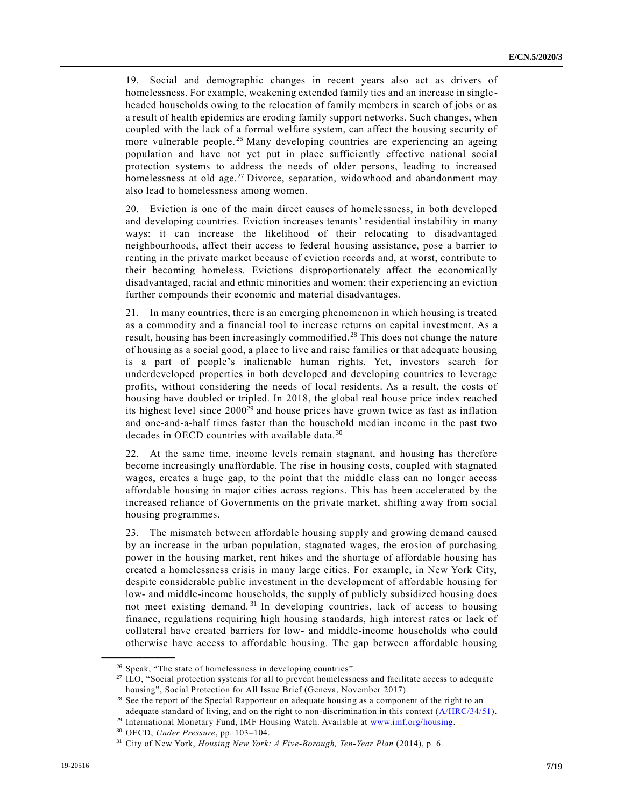19. Social and demographic changes in recent years also act as drivers of homelessness. For example, weakening extended family ties and an increase in singleheaded households owing to the relocation of family members in search of jobs or as a result of health epidemics are eroding family support networks. Such changes, when coupled with the lack of a formal welfare system, can affect the housing security of more vulnerable people.<sup>26</sup> Many developing countries are experiencing an ageing population and have not yet put in place sufficiently effective national social protection systems to address the needs of older persons, leading to increased homelessness at old age.<sup>27</sup> Divorce, separation, widowhood and abandonment may also lead to homelessness among women.

20. Eviction is one of the main direct causes of homelessness, in both developed and developing countries. Eviction increases tenants' residential instability in many ways: it can increase the likelihood of their relocating to disadvantaged neighbourhoods, affect their access to federal housing assistance, pose a barrier to renting in the private market because of eviction records and, at worst, contribute to their becoming homeless. Evictions disproportionately affect the economically disadvantaged, racial and ethnic minorities and women; their experiencing an eviction further compounds their economic and material disadvantages.

21. In many countries, there is an emerging phenomenon in which housing is treated as a commodity and a financial tool to increase returns on capital investment. As a result, housing has been increasingly commodified. <sup>28</sup> This does not change the nature of housing as a social good, a place to live and raise families or that adequate housing is a part of people's inalienable human rights. Yet, investors search for underdeveloped properties in both developed and developing countries to leverage profits, without considering the needs of local residents. As a result, the costs of housing have doubled or tripled. In 2018, the global real house price index reached its highest level since  $2000^{29}$  and house prices have grown twice as fast as inflation and one-and-a-half times faster than the household median income in the past two decades in OECD countries with available data.<sup>30</sup>

22. At the same time, income levels remain stagnant, and housing has therefore become increasingly unaffordable. The rise in housing costs, coupled with stagnated wages, creates a huge gap, to the point that the middle class can no longer access affordable housing in major cities across regions. This has been accelerated by the increased reliance of Governments on the private market, shifting away from social housing programmes.

23. The mismatch between affordable housing supply and growing demand caused by an increase in the urban population, stagnated wages, the erosion of purchasing power in the housing market, rent hikes and the shortage of affordable housing has created a homelessness crisis in many large cities. For example, in New York City, despite considerable public investment in the development of affordable housing for low- and middle-income households, the supply of publicly subsidized housing does not meet existing demand.<sup>31</sup> In developing countries, lack of access to housing finance, regulations requiring high housing standards, high interest rates or lack of collateral have created barriers for low- and middle-income households who could otherwise have access to affordable housing. The gap between affordable housing

<sup>26</sup> Speak, "The state of homelessness in developing countries".

<sup>&</sup>lt;sup>27</sup> ILO, "Social protection systems for all to prevent homelessness and facilitate access to adequate housing", Social Protection for All Issue Brief (Geneva, November 2017).

<sup>&</sup>lt;sup>28</sup> See the report of the Special Rapporteur on adequate housing as a component of the right to an adequate standard of living, and on the right to non-discrimination in this context [\(A/HRC/34/51\)](https://undocs.org/en/A/HRC/34/51).

<sup>29</sup> International Monetary Fund, IMF Housing Watch. Available at [www.imf.org/housing.](http://www.imf.org/housing)

<sup>30</sup> OECD, *Under Pressure*, pp. 103–104.

<sup>31</sup> City of New York, *Housing New York: A Five-Borough, Ten-Year Plan* (2014), p. 6.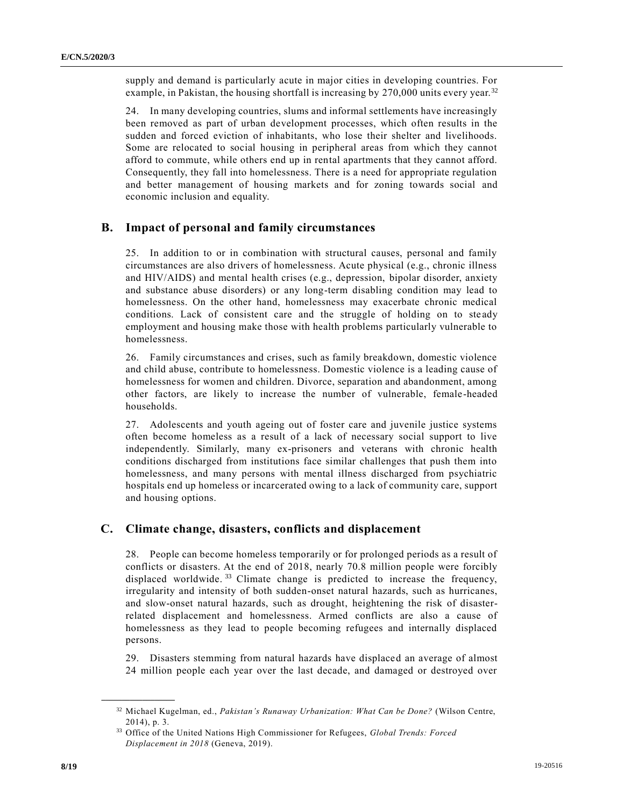supply and demand is particularly acute in major cities in developing countries. For example, in Pakistan, the housing shortfall is increasing by  $270,000$  units every year.<sup>32</sup>

24. In many developing countries, slums and informal settlements have increasingly been removed as part of urban development processes, which often results in the sudden and forced eviction of inhabitants, who lose their shelter and livelihoods. Some are relocated to social housing in peripheral areas from which they cannot afford to commute, while others end up in rental apartments that they cannot afford. Consequently, they fall into homelessness. There is a need for appropriate regulation and better management of housing markets and for zoning towards social and economic inclusion and equality.

## **B. Impact of personal and family circumstances**

25. In addition to or in combination with structural causes, personal and family circumstances are also drivers of homelessness. Acute physical (e.g., chronic illness and HIV/AIDS) and mental health crises (e.g., depression, bipolar disorder, anxiety and substance abuse disorders) or any long-term disabling condition may lead to homelessness. On the other hand, homelessness may exacerbate chronic medical conditions. Lack of consistent care and the struggle of holding on to steady employment and housing make those with health problems particularly vulnerable to homelessness.

26. Family circumstances and crises, such as family breakdown, domestic violence and child abuse, contribute to homelessness. Domestic violence is a leading cause of homelessness for women and children. Divorce, separation and abandonment, among other factors, are likely to increase the number of vulnerable, female-headed households.

27. Adolescents and youth ageing out of foster care and juvenile justice systems often become homeless as a result of a lack of necessary social support to live independently. Similarly, many ex-prisoners and veterans with chronic health conditions discharged from institutions face similar challenges that push them into homelessness, and many persons with mental illness discharged from psychiatric hospitals end up homeless or incarcerated owing to a lack of community care, support and housing options.

### **C. Climate change, disasters, conflicts and displacement**

28. People can become homeless temporarily or for prolonged periods as a result of conflicts or disasters. At the end of 2018, nearly 70.8 million people were forcibly displaced worldwide.<sup>33</sup> Climate change is predicted to increase the frequency, irregularity and intensity of both sudden-onset natural hazards, such as hurricanes, and slow-onset natural hazards, such as drought, heightening the risk of disasterrelated displacement and homelessness. Armed conflicts are also a cause of homelessness as they lead to people becoming refugees and internally displaced persons.

29. Disasters stemming from natural hazards have displaced an average of almost 24 million people each year over the last decade, and damaged or destroyed over

<sup>32</sup> Michael Kugelman, ed., *Pakistan's Runaway Urbanization: What Can be Done?* (Wilson Centre, 2014), p. 3.

<sup>33</sup> Office of the United Nations High Commissioner for Refugees, *Global Trends: Forced Displacement in 2018* (Geneva, 2019).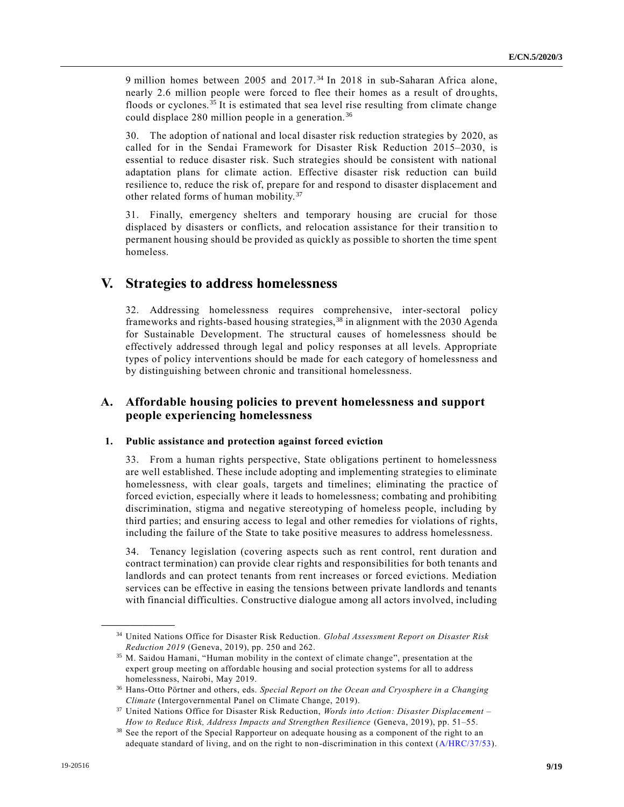9 million homes between 2005 and 2017. 34 In 2018 in sub-Saharan Africa alone, nearly 2.6 million people were forced to flee their homes as a result of droughts, floods or cyclones.<sup>35</sup> It is estimated that sea level rise resulting from climate change could displace 280 million people in a generation.<sup>36</sup>

30. The adoption of national and local disaster risk reduction strategies by 2020, as called for in the Sendai Framework for Disaster Risk Reduction 2015–2030, is essential to reduce disaster risk. Such strategies should be consistent with national adaptation plans for climate action. Effective disaster risk reduction can build resilience to, reduce the risk of, prepare for and respond to disaster displacement and other related forms of human mobility. <sup>37</sup>

31. Finally, emergency shelters and temporary housing are crucial for those displaced by disasters or conflicts, and relocation assistance for their transition to permanent housing should be provided as quickly as possible to shorten the time spent homeless.

# **V. Strategies to address homelessness**

32. Addressing homelessness requires comprehensive, inter-sectoral policy frameworks and rights-based housing strategies,<sup>38</sup> in alignment with the 2030 Agenda for Sustainable Development. The structural causes of homelessness should be effectively addressed through legal and policy responses at all levels. Appropriate types of policy interventions should be made for each category of homelessness and by distinguishing between chronic and transitional homelessness.

### **A. Affordable housing policies to prevent homelessness and support people experiencing homelessness**

#### **1. Public assistance and protection against forced eviction**

33. From a human rights perspective, State obligations pertinent to homelessness are well established. These include adopting and implementing strategies to eliminate homelessness, with clear goals, targets and timelines; eliminating the practice of forced eviction, especially where it leads to homelessness; combating and prohibiting discrimination, stigma and negative stereotyping of homeless people, including by third parties; and ensuring access to legal and other remedies for violations of rights, including the failure of the State to take positive measures to address homelessness.

34. Tenancy legislation (covering aspects such as rent control, rent duration and contract termination) can provide clear rights and responsibilities for both tenants and landlords and can protect tenants from rent increases or forced evictions. Mediation services can be effective in easing the tensions between private landlords and tenants with financial difficulties. Constructive dialogue among all actors involved, including

<sup>34</sup> United Nations Office for Disaster Risk Reduction. *Global Assessment Report on Disaster Risk Reduction 2019* (Geneva, 2019), pp. 250 and 262.

<sup>35</sup> M. Saidou Hamani, "Human mobility in the context of climate change", presentation at the expert group meeting on affordable housing and social protection systems for all to address homelessness, Nairobi, May 2019.

<sup>36</sup> Hans-Otto Pörtner and others, eds. *Special Report on the Ocean and Cryosphere in a Changing Climate* (Intergovernmental Panel on Climate Change, 2019).

<sup>37</sup> United Nations Office for Disaster Risk Reduction, *Words into Action: Disaster Displacement – How to Reduce Risk, Address Impacts and Strengthen Resilience* (Geneva, 2019), pp. 51–55.

<sup>&</sup>lt;sup>38</sup> See the report of the Special Rapporteur on adequate housing as a component of the right to an adequate standard of living, and on the right to non-discrimination in this context [\(A/HRC/37/53\)](https://undocs.org/en/A/HRC/37/53).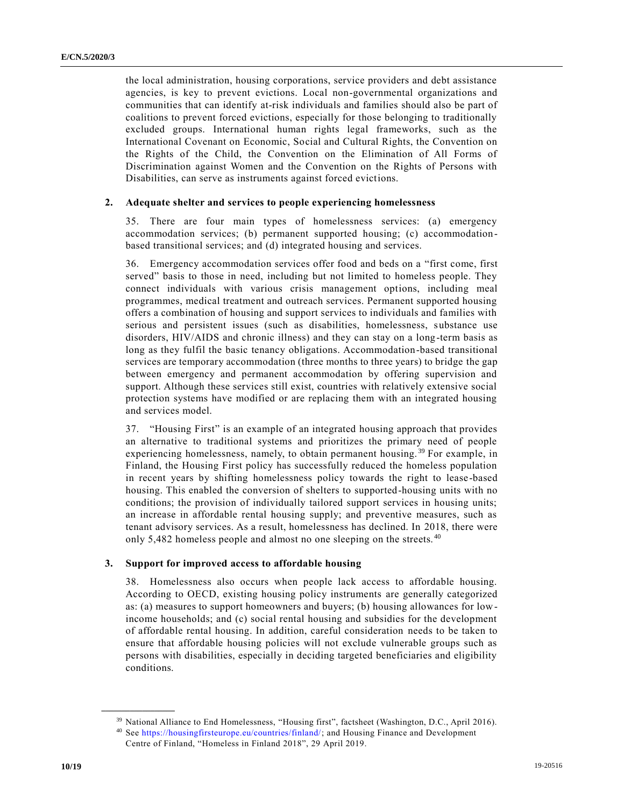the local administration, housing corporations, service providers and debt assistance agencies, is key to prevent evictions. Local non-governmental organizations and communities that can identify at-risk individuals and families should also be part of coalitions to prevent forced evictions, especially for those belonging to traditionally excluded groups. International human rights legal frameworks, such as the International Covenant on Economic, Social and Cultural Rights, the Convention on the Rights of the Child, the Convention on the Elimination of All Forms of Discrimination against Women and the Convention on the Rights of Persons with Disabilities, can serve as instruments against forced evictions.

#### **2. Adequate shelter and services to people experiencing homelessness**

35. There are four main types of homelessness services: (a) emergency accommodation services; (b) permanent supported housing; (c) accommodationbased transitional services; and (d) integrated housing and services.

36. Emergency accommodation services offer food and beds on a "first come, first served" basis to those in need, including but not limited to homeless people. They connect individuals with various crisis management options, including meal programmes, medical treatment and outreach services. Permanent supported housing offers a combination of housing and support services to individuals and families with serious and persistent issues (such as disabilities, homelessness, substance use disorders, HIV/AIDS and chronic illness) and they can stay on a long-term basis as long as they fulfil the basic tenancy obligations. Accommodation-based transitional services are temporary accommodation (three months to three years) to bridge the gap between emergency and permanent accommodation by offering supervision and support. Although these services still exist, countries with relatively extensive social protection systems have modified or are replacing them with an integrated housing and services model.

37. "Housing First" is an example of an integrated housing approach that provides an alternative to traditional systems and prioritizes the primary need of people experiencing homelessness, namely, to obtain permanent housing. <sup>39</sup> For example, in Finland, the Housing First policy has successfully reduced the homeless population in recent years by shifting homelessness policy towards the right to lease -based housing. This enabled the conversion of shelters to supported-housing units with no conditions; the provision of individually tailored support services in housing units; an increase in affordable rental housing supply; and preventive measures, such as tenant advisory services. As a result, homelessness has declined. In 2018, there were only 5,482 homeless people and almost no one sleeping on the streets.<sup>40</sup>

#### **3. Support for improved access to affordable housing**

38. Homelessness also occurs when people lack access to affordable housing. According to OECD, existing housing policy instruments are generally categorized as: (a) measures to support homeowners and buyers; (b) housing allowances for lowincome households; and (c) social rental housing and subsidies for the development of affordable rental housing. In addition, careful consideration needs to be taken to ensure that affordable housing policies will not exclude vulnerable groups such as persons with disabilities, especially in deciding targeted beneficiaries and eligibility conditions.

<sup>39</sup> National Alliance to End Homelessness, "Housing first", factsheet (Washington, D.C., April 2016).

<sup>40</sup> See [https://housingfirsteurope.eu/countries/finland/;](https://housingfirsteurope.eu/countries/finland/) and Housing Finance and Development Centre of Finland, "Homeless in Finland 2018", 29 April 2019.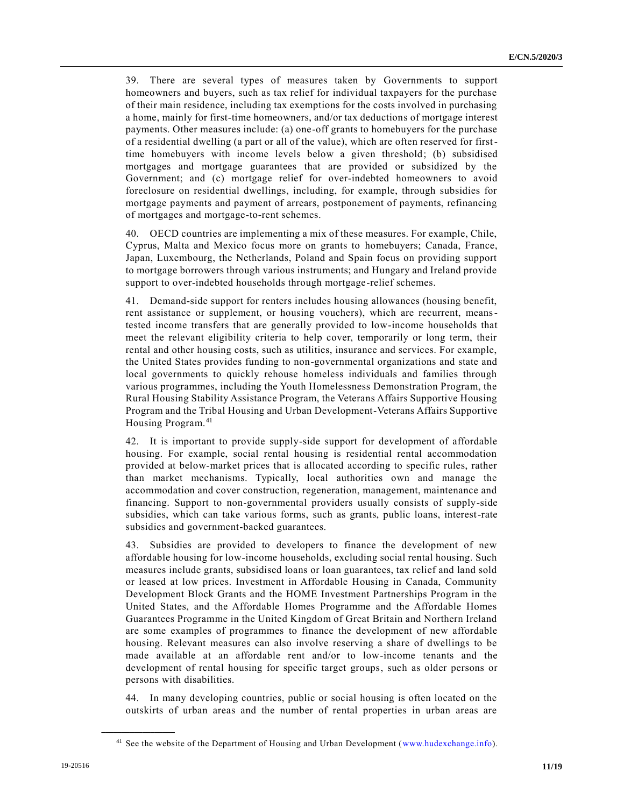39. There are several types of measures taken by Governments to support homeowners and buyers, such as tax relief for individual taxpayers for the purchase of their main residence, including tax exemptions for the costs involved in purchasing a home, mainly for first-time homeowners, and/or tax deductions of mortgage interest payments. Other measures include: (a) one-off grants to homebuyers for the purchase of a residential dwelling (a part or all of the value), which are often reserved for firsttime homebuyers with income levels below a given threshold; (b) subsidised mortgages and mortgage guarantees that are provided or subsidized by the Government; and (c) mortgage relief for over-indebted homeowners to avoid foreclosure on residential dwellings, including, for example, through subsidies for mortgage payments and payment of arrears, postponement of payments, refinancing of mortgages and mortgage-to-rent schemes.

40. OECD countries are implementing a mix of these measures. For example, Chile, Cyprus, Malta and Mexico focus more on grants to homebuyers; Canada, France, Japan, Luxembourg, the Netherlands, Poland and Spain focus on providing support to mortgage borrowers through various instruments; and Hungary and Ireland provide support to over-indebted households through mortgage-relief schemes.

41. Demand-side support for renters includes housing allowances (housing benefit, rent assistance or supplement, or housing vouchers), which are recurrent, meanstested income transfers that are generally provided to low-income households that meet the relevant eligibility criteria to help cover, temporarily or long term, their rental and other housing costs, such as utilities, insurance and services. For example, the United States provides funding to non-governmental organizations and state and local governments to quickly rehouse homeless individuals and families through various programmes, including the Youth Homelessness Demonstration Program, the Rural Housing Stability Assistance Program, the Veterans Affairs Supportive Housing Program and the Tribal Housing and Urban Development-Veterans Affairs Supportive Housing Program.<sup>41</sup>

42. It is important to provide supply-side support for development of affordable housing. For example, social rental housing is residential rental accommodation provided at below-market prices that is allocated according to specific rules, rather than market mechanisms. Typically, local authorities own and manage the accommodation and cover construction, regeneration, management, maintenance and financing. Support to non-governmental providers usually consists of supply-side subsidies, which can take various forms, such as grants, public loans, interest-rate subsidies and government-backed guarantees.

43. Subsidies are provided to developers to finance the development of new affordable housing for low-income households, excluding social rental housing. Such measures include grants, subsidised loans or loan guarantees, tax relief and land sold or leased at low prices. Investment in Affordable Housing in Canada, Community Development Block Grants and the HOME Investment Partnerships Program in the United States, and the Affordable Homes Programme and the Affordable Homes Guarantees Programme in the United Kingdom of Great Britain and Northern Ireland are some examples of programmes to finance the development of new affordable housing. Relevant measures can also involve reserving a share of dwellings to be made available at an affordable rent and/or to low-income tenants and the development of rental housing for specific target groups, such as older persons or persons with disabilities.

44. In many developing countries, public or social housing is often located on the outskirts of urban areas and the number of rental properties in urban areas are

<sup>&</sup>lt;sup>41</sup> See the website of the Department of Housing and Urban Development [\(www.hudexchange.info\)](http://www.hudexchange.info/).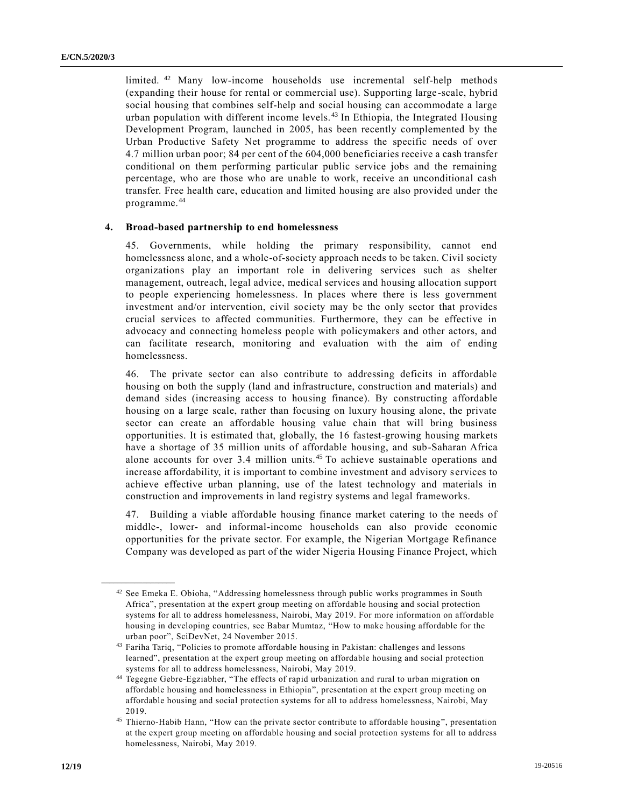limited. <sup>42</sup> Many low-income households use incremental self-help methods (expanding their house for rental or commercial use). Supporting large -scale, hybrid social housing that combines self-help and social housing can accommodate a large urban population with different income levels. <sup>43</sup> In Ethiopia, the Integrated Housing Development Program, launched in 2005, has been recently complemented by the Urban Productive Safety Net programme to address the specific needs of over 4.7 million urban poor; 84 per cent of the 604,000 beneficiaries receive a cash transfer conditional on them performing particular public service jobs and the remaining percentage, who are those who are unable to work, receive an unconditional cash transfer. Free health care, education and limited housing are also provided under the programme.<sup>44</sup>

#### **4. Broad-based partnership to end homelessness**

45. Governments, while holding the primary responsibility, cannot end homelessness alone, and a whole-of-society approach needs to be taken. Civil society organizations play an important role in delivering services such as shelter management, outreach, legal advice, medical services and housing allocation support to people experiencing homelessness. In places where there is less government investment and/or intervention, civil society may be the only sector that provides crucial services to affected communities. Furthermore, they can be effective in advocacy and connecting homeless people with policymakers and other actors, and can facilitate research, monitoring and evaluation with the aim of ending homelessness.

46. The private sector can also contribute to addressing deficits in affordable housing on both the supply (land and infrastructure, construction and materials) and demand sides (increasing access to housing finance). By constructing affordable housing on a large scale, rather than focusing on luxury housing alone, the private sector can create an affordable housing value chain that will bring business opportunities. It is estimated that, globally, the 16 fastest-growing housing markets have a shortage of 35 million units of affordable housing, and sub-Saharan Africa alone accounts for over 3.4 million units.<sup>45</sup> To achieve sustainable operations and increase affordability, it is important to combine investment and advisory s ervices to achieve effective urban planning, use of the latest technology and materials in construction and improvements in land registry systems and legal frameworks.

47. Building a viable affordable housing finance market catering to the needs of middle-, lower- and informal-income households can also provide economic opportunities for the private sector. For example, the Nigerian Mortgage Refinance Company was developed as part of the wider Nigeria Housing Finance Project, which

<sup>42</sup> See Emeka E. Obioha, "Addressing homelessness through public works programmes in South Africa", presentation at the expert group meeting on affordable housing and social protection systems for all to address homelessness, Nairobi, May 2019. For more information on affordable housing in developing countries, see Babar Mumtaz, "How to make housing affordable for the urban poor", SciDevNet, 24 November 2015.

<sup>43</sup> Fariha Tariq, "Policies to promote affordable housing in Pakistan: challenges and lessons learned", presentation at the expert group meeting on affordable housing and social protection systems for all to address homelessness, Nairobi, May 2019.

<sup>44</sup> Tegegne Gebre-Egziabher, "The effects of rapid urbanization and rural to urban migration on affordable housing and homelessness in Ethiopia", presentation at the expert group meeting on affordable housing and social protection systems for all to address homelessness, Nairobi, May 2019.

<sup>&</sup>lt;sup>45</sup> Thierno-Habib Hann, "How can the private sector contribute to affordable housing", presentation at the expert group meeting on affordable housing and social protection systems for all to address homelessness, Nairobi, May 2019.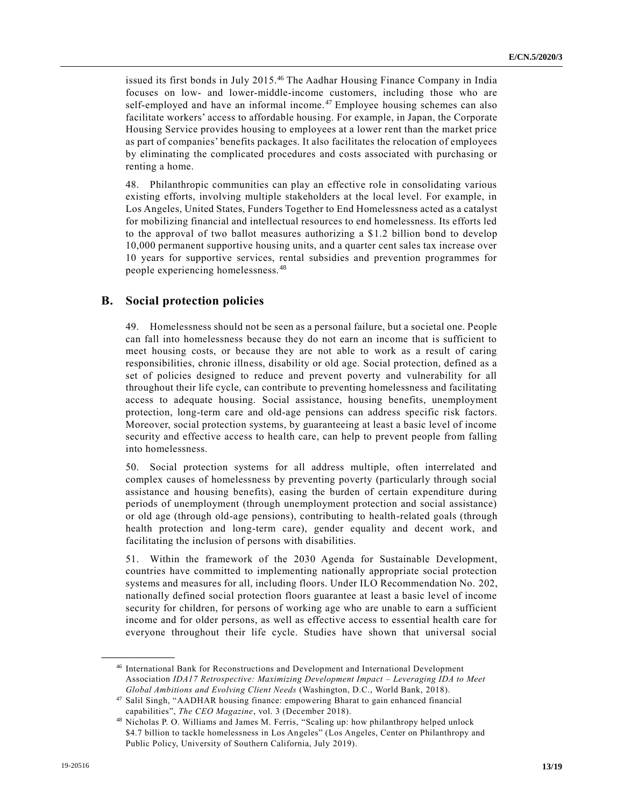issued its first bonds in July 2015. <sup>46</sup> The Aadhar Housing Finance Company in India focuses on low- and lower-middle-income customers, including those who are self-employed and have an informal income. <sup>47</sup> Employee housing schemes can also facilitate workers' access to affordable housing. For example, in Japan, the Corporate Housing Service provides housing to employees at a lower rent than the market price as part of companies' benefits packages. It also facilitates the relocation of employees by eliminating the complicated procedures and costs associated with purchasing or renting a home.

48. Philanthropic communities can play an effective role in consolidating various existing efforts, involving multiple stakeholders at the local level. For example, in Los Angeles, United States, Funders Together to End Homelessness acted as a catalyst for mobilizing financial and intellectual resources to end homelessness. Its efforts led to the approval of two ballot measures authorizing a \$1.2 billion bond to develop 10,000 permanent supportive housing units, and a quarter cent sales tax increase over 10 years for supportive services, rental subsidies and prevention programmes for people experiencing homelessness.<sup>48</sup>

### **B. Social protection policies**

49. Homelessness should not be seen as a personal failure, but a societal one. People can fall into homelessness because they do not earn an income that is sufficient to meet housing costs, or because they are not able to work as a result of caring responsibilities, chronic illness, disability or old age. Social protection, defined as a set of policies designed to reduce and prevent poverty and vulnerability for all throughout their life cycle, can contribute to preventing homelessness and facilitating access to adequate housing. Social assistance, housing benefits, unemployment protection, long-term care and old-age pensions can address specific risk factors. Moreover, social protection systems, by guaranteeing at least a basic level of income security and effective access to health care, can help to prevent people from falling into homelessness.

50. Social protection systems for all address multiple, often interrelated and complex causes of homelessness by preventing poverty (particularly through social assistance and housing benefits), easing the burden of certain expenditure during periods of unemployment (through unemployment protection and social assistance) or old age (through old-age pensions), contributing to health-related goals (through health protection and long-term care), gender equality and decent work, and facilitating the inclusion of persons with disabilities.

51. Within the framework of the 2030 Agenda for Sustainable Development, countries have committed to implementing nationally appropriate social protection systems and measures for all, including floors. Under ILO Recommendation No. 202, nationally defined social protection floors guarantee at least a basic level of income security for children, for persons of working age who are unable to earn a sufficient income and for older persons, as well as effective access to essential health care for everyone throughout their life cycle. Studies have shown that universal social

<sup>46</sup> International Bank for Reconstructions and Development and International Development Association *IDA17 Retrospective: Maximizing Development Impact – Leveraging IDA to Meet Global Ambitions and Evolving Client Needs* (Washington, D.C., World Bank, 2018).

<sup>47</sup> Salil Singh, "AADHAR housing finance: empowering Bharat to gain enhanced financial capabilities", *The CEO Magazine*, vol. 3 (December 2018).

<sup>48</sup> Nicholas P. O. Williams and James M. Ferris, "Scaling up: how philanthropy helped unlock \$4.7 billion to tackle homelessness in Los Angeles" (Los Angeles, Center on Philanthropy and Public Policy, University of Southern California, July 2019).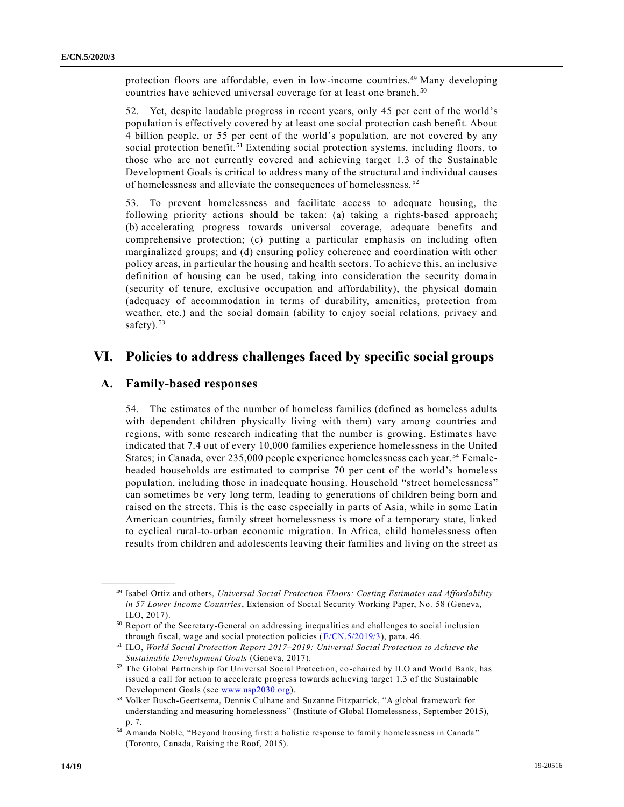protection floors are affordable, even in low-income countries.<sup>49</sup> Many developing countries have achieved universal coverage for at least one branch. <sup>50</sup>

52. Yet, despite laudable progress in recent years, only 45 per cent of the world's population is effectively covered by at least one social protection cash benefit. About 4 billion people, or 55 per cent of the world's population, are not covered by any social protection benefit.<sup>51</sup> Extending social protection systems, including floors, to those who are not currently covered and achieving target 1.3 of the Sustainable Development Goals is critical to address many of the structural and individual causes of homelessness and alleviate the consequences of homelessness. <sup>52</sup>

53. To prevent homelessness and facilitate access to adequate housing, the following priority actions should be taken: (a) taking a rights-based approach; (b) accelerating progress towards universal coverage, adequate benefits and comprehensive protection; (c) putting a particular emphasis on including often marginalized groups; and (d) ensuring policy coherence and coordination with other policy areas, in particular the housing and health sectors. To achieve this, an inclusive definition of housing can be used, taking into consideration the security domain (security of tenure, exclusive occupation and affordability), the physical domain (adequacy of accommodation in terms of durability, amenities, protection from weather, etc.) and the social domain (ability to enjoy social relations, privacy and safety). $53$ 

# **VI. Policies to address challenges faced by specific social groups**

### **A. Family-based responses**

**\_\_\_\_\_\_\_\_\_\_\_\_\_\_\_\_\_\_**

54. The estimates of the number of homeless families (defined as homeless adults with dependent children physically living with them) vary among countries and regions, with some research indicating that the number is growing. Estimates have indicated that 7.4 out of every 10,000 families experience homelessness in the United States; in Canada, over 235,000 people experience homelessness each year.<sup>54</sup> Femaleheaded households are estimated to comprise 70 per cent of the world's homeless population, including those in inadequate housing. Household "street homelessness" can sometimes be very long term, leading to generations of children being born and raised on the streets. This is the case especially in parts of Asia, while in some Latin American countries, family street homelessness is more of a temporary state, linked to cyclical rural-to-urban economic migration. In Africa, child homelessness often results from children and adolescents leaving their families and living on the street as

<sup>49</sup> Isabel Ortiz and others, *Universal Social Protection Floors: Costing Estimates and Affordability in 57 Lower Income Countries*, Extension of Social Security Working Paper, No. 58 (Geneva, ILO, 2017).

<sup>50</sup> Report of the Secretary-General on addressing inequalities and challenges to social inclusion through fiscal, wage and social protection policies [\(E/CN.5/2019/3\)](https://undocs.org/en/E/CN.5/2019/3), para. 46.

<sup>51</sup> ILO, *World Social Protection Report 2017–2019: Universal Social Protection to Achieve the Sustainable Development Goals* (Geneva, 2017).

<sup>52</sup> The Global Partnership for Universal Social Protection, co-chaired by ILO and World Bank, has issued a call for action to accelerate progress towards achieving target 1.3 of the Sustainable Development Goals (see [www.usp2030.org\)](http://www.usp2030.org/).

<sup>53</sup> Volker Busch-Geertsema, Dennis Culhane and Suzanne Fitzpatrick, "A global framework for understanding and measuring homelessness" (Institute of Global Homelessness, September 2015), p. 7.

<sup>54</sup> Amanda Noble, "Beyond housing first: a holistic response to family homelessness in Canada " (Toronto, Canada, Raising the Roof, 2015).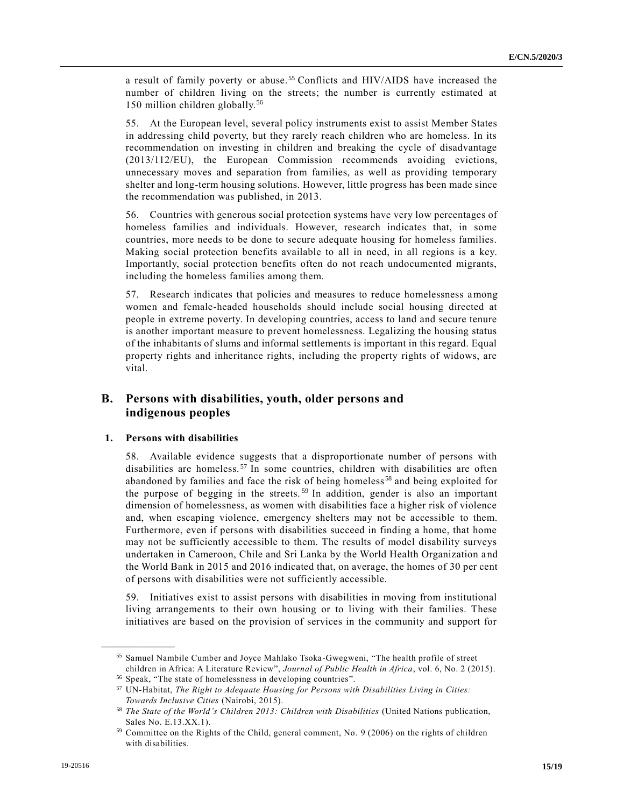a result of family poverty or abuse.<sup>55</sup> Conflicts and HIV/AIDS have increased the number of children living on the streets; the number is currently estimated at 150 million children globally.<sup>56</sup>

55. At the European level, several policy instruments exist to assist Member States in addressing child poverty, but they rarely reach children who are homeless. In its recommendation on investing in children and breaking the cycle of disadvantage (2013/112/EU), the European Commission recommends avoiding evictions, unnecessary moves and separation from families, as well as providing temporary shelter and long-term housing solutions. However, little progress has been made since the recommendation was published, in 2013.

56. Countries with generous social protection systems have very low percentages of homeless families and individuals. However, research indicates that, in some countries, more needs to be done to secure adequate housing for homeless families. Making social protection benefits available to all in need, in all regions is a key. Importantly, social protection benefits often do not reach undocumented migrants, including the homeless families among them.

57. Research indicates that policies and measures to reduce homelessness among women and female-headed households should include social housing directed at people in extreme poverty. In developing countries, access to land and secure tenure is another important measure to prevent homelessness. Legalizing the housing status of the inhabitants of slums and informal settlements is important in this regard. Equal property rights and inheritance rights, including the property rights of widows, are vital.

# **B. Persons with disabilities, youth, older persons and indigenous peoples**

#### **1. Persons with disabilities**

**\_\_\_\_\_\_\_\_\_\_\_\_\_\_\_\_\_\_**

58. Available evidence suggests that a disproportionate number of persons with disabilities are homeless.<sup>57</sup> In some countries, children with disabilities are often abandoned by families and face the risk of being homeless <sup>58</sup> and being exploited for the purpose of begging in the streets.<sup>59</sup> In addition, gender is also an important dimension of homelessness, as women with disabilities face a higher risk of violence and, when escaping violence, emergency shelters may not be accessible to them. Furthermore, even if persons with disabilities succeed in finding a home, that home may not be sufficiently accessible to them. The results of model disability surveys undertaken in Cameroon, Chile and Sri Lanka by the World Health Organization a nd the World Bank in 2015 and 2016 indicated that, on average, the homes of 30 per cent of persons with disabilities were not sufficiently accessible.

59. Initiatives exist to assist persons with disabilities in moving from institutional living arrangements to their own housing or to living with their families. These initiatives are based on the provision of services in the community and support for

<sup>55</sup> Samuel Nambile Cumber and Joyce Mahlako Tsoka-Gwegweni, "The health profile of street children in Africa: A Literature Review", *Journal of Public Health in Africa*, vol. 6, No. 2 (2015).

<sup>56</sup> Speak, "The state of homelessness in developing countries".

<sup>57</sup> UN-Habitat, *The Right to Adequate Housing for Persons with Disabilities Living in Cities: Towards Inclusive Cities* (Nairobi, 2015).

<sup>58</sup> *The State of the World's Children 2013: Children with Disabilities* (United Nations publication, Sales No. E.13.XX.1).

<sup>59</sup> Committee on the Rights of the Child, general comment, No. 9 (2006) on the rights of children with disabilities.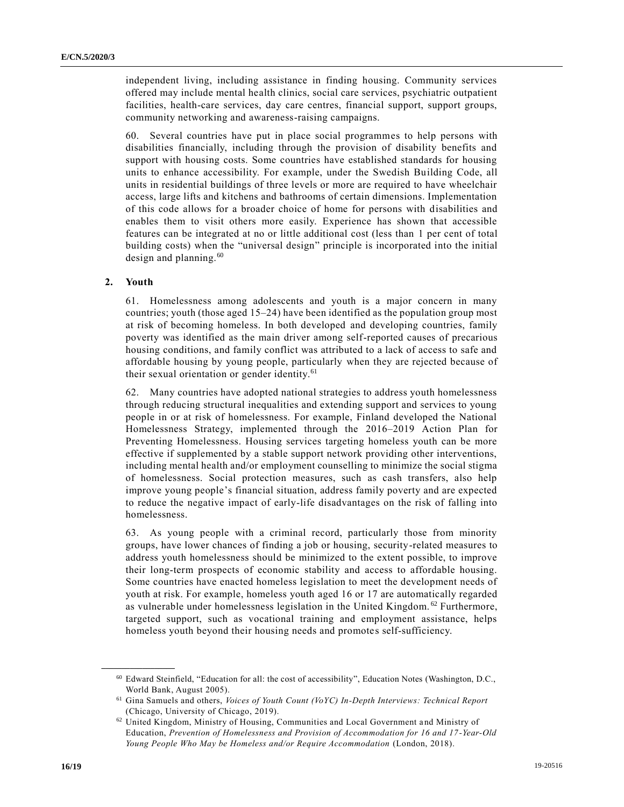independent living, including assistance in finding housing. Community services offered may include mental health clinics, social care services, psychiatric outpatient facilities, health-care services, day care centres, financial support, support groups, community networking and awareness-raising campaigns.

60. Several countries have put in place social programmes to help persons with disabilities financially, including through the provision of disability benefits and support with housing costs. Some countries have established standards for housing units to enhance accessibility. For example, under the Swedish Building Code, all units in residential buildings of three levels or more are required to have wheelchair access, large lifts and kitchens and bathrooms of certain dimensions. Implementation of this code allows for a broader choice of home for persons with disabilities and enables them to visit others more easily. Experience has shown that accessible features can be integrated at no or little additional cost (less than 1 per cent of total building costs) when the "universal design" principle is incorporated into the initial design and planning. $60$ 

#### **2. Youth**

**\_\_\_\_\_\_\_\_\_\_\_\_\_\_\_\_\_\_**

61. Homelessness among adolescents and youth is a major concern in many countries; youth (those aged 15–24) have been identified as the population group most at risk of becoming homeless. In both developed and developing countries, family poverty was identified as the main driver among self-reported causes of precarious housing conditions, and family conflict was attributed to a lack of access to safe and affordable housing by young people, particularly when they are rejected because of their sexual orientation or gender identity.<sup>61</sup>

62. Many countries have adopted national strategies to address youth homelessness through reducing structural inequalities and extending support and services to young people in or at risk of homelessness. For example, Finland developed the National Homelessness Strategy, implemented through the 2016–2019 Action Plan for Preventing Homelessness. Housing services targeting homeless youth can be more effective if supplemented by a stable support network providing other interventions, including mental health and/or employment counselling to minimize the social stigma of homelessness. Social protection measures, such as cash transfers, also help improve young people's financial situation, address family poverty and are expected to reduce the negative impact of early-life disadvantages on the risk of falling into homelessness.

63. As young people with a criminal record, particularly those from minority groups, have lower chances of finding a job or housing, security-related measures to address youth homelessness should be minimized to the extent possible, to improve their long-term prospects of economic stability and access to affordable housing. Some countries have enacted homeless legislation to meet the development needs of youth at risk. For example, homeless youth aged 16 or 17 are automatically regarded as vulnerable under homelessness legislation in the United Kingdom. <sup>62</sup> Furthermore, targeted support, such as vocational training and employment assistance, helps homeless youth beyond their housing needs and promotes self-sufficiency.

<sup>60</sup> Edward Steinfield, "Education for all: the cost of accessibility", Education Notes (Washington, D.C., World Bank, August 2005).

<sup>61</sup> Gina Samuels and others, *Voices of Youth Count (VoYC) In-Depth Interviews: Technical Report* (Chicago, University of Chicago, 2019).

 $62$  United Kingdom, Ministry of Housing, Communities and Local Government and Ministry of Education, *Prevention of Homelessness and Provision of Accommodation for 16 and 17-Year-Old Young People Who May be Homeless and/or Require Accommodation* (London, 2018).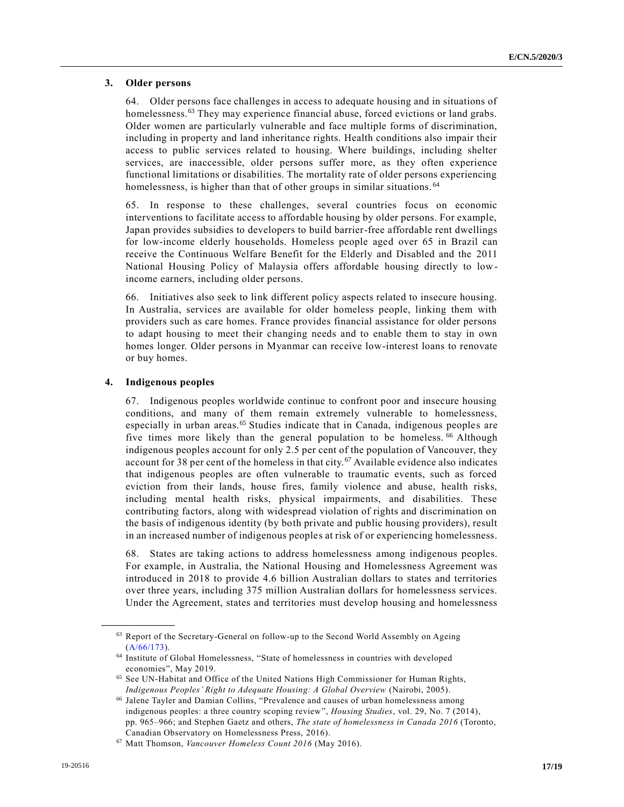#### **3. Older persons**

64. Older persons face challenges in access to adequate housing and in situations of homelessness.<sup>63</sup> They may experience financial abuse, forced evictions or land grabs. Older women are particularly vulnerable and face multiple forms of discrimination, including in property and land inheritance rights. Health conditions also impair their access to public services related to housing. Where buildings, including shelter services, are inaccessible, older persons suffer more, as they often experience functional limitations or disabilities. The mortality rate of older persons experiencing homelessness, is higher than that of other groups in similar situations.<sup>64</sup>

65. In response to these challenges, several countries focus on economic interventions to facilitate access to affordable housing by older persons. For example, Japan provides subsidies to developers to build barrier-free affordable rent dwellings for low-income elderly households. Homeless people aged over 65 in Brazil can receive the Continuous Welfare Benefit for the Elderly and Disabled and the 2011 National Housing Policy of Malaysia offers affordable housing directly to lowincome earners, including older persons.

66. Initiatives also seek to link different policy aspects related to insecure housing. In Australia, services are available for older homeless people, linking them with providers such as care homes. France provides financial assistance for older persons to adapt housing to meet their changing needs and to enable them to stay in own homes longer. Older persons in Myanmar can receive low-interest loans to renovate or buy homes.

#### **4. Indigenous peoples**

**\_\_\_\_\_\_\_\_\_\_\_\_\_\_\_\_\_\_**

67. Indigenous peoples worldwide continue to confront poor and insecure housing conditions, and many of them remain extremely vulnerable to homelessness, especially in urban areas.<sup>65</sup> Studies indicate that in Canada, indigenous peoples are five times more likely than the general population to be homeless.<sup>66</sup> Although indigenous peoples account for only 2.5 per cent of the population of Vancouver, they account for 38 per cent of the homeless in that city.<sup>67</sup> Available evidence also indicates that indigenous peoples are often vulnerable to traumatic events, such as forced eviction from their lands, house fires, family violence and abuse, health risks, including mental health risks, physical impairments, and disabilities. These contributing factors, along with widespread violation of rights and discrimination on the basis of indigenous identity (by both private and public housing providers), result in an increased number of indigenous peoples at risk of or experiencing homelessness.

68. States are taking actions to address homelessness among indigenous peoples. For example, in Australia, the National Housing and Homelessness Agreement was introduced in 2018 to provide 4.6 billion Australian dollars to states and territories over three years, including 375 million Australian dollars for homelessness services. Under the Agreement, states and territories must develop housing and homelessness

<sup>&</sup>lt;sup>63</sup> Report of the Secretary-General on follow-up to the Second World Assembly on Ageing  $(A/66/173)$ .

<sup>64</sup> Institute of Global Homelessness, "State of homelessness in countries with developed economies", May 2019.

<sup>65</sup> See UN-Habitat and Office of the United Nations High Commissioner for Human Rights, *Indigenous Peoples' Right to Adequate Housing: A Global Overview* (Nairobi, 2005).

<sup>66</sup> Jalene Tayler and Damian Collins, "Prevalence and causes of urban homelessness among indigenous peoples: a three country scoping review", *Housing Studies*, vol. 29, No. 7 (2014), pp. 965–966; and Stephen Gaetz and others, *The state of homelessness in Canada 2016* (Toronto, Canadian Observatory on Homelessness Press, 2016).

<sup>67</sup> Matt Thomson, *Vancouver Homeless Count 2016* (May 2016).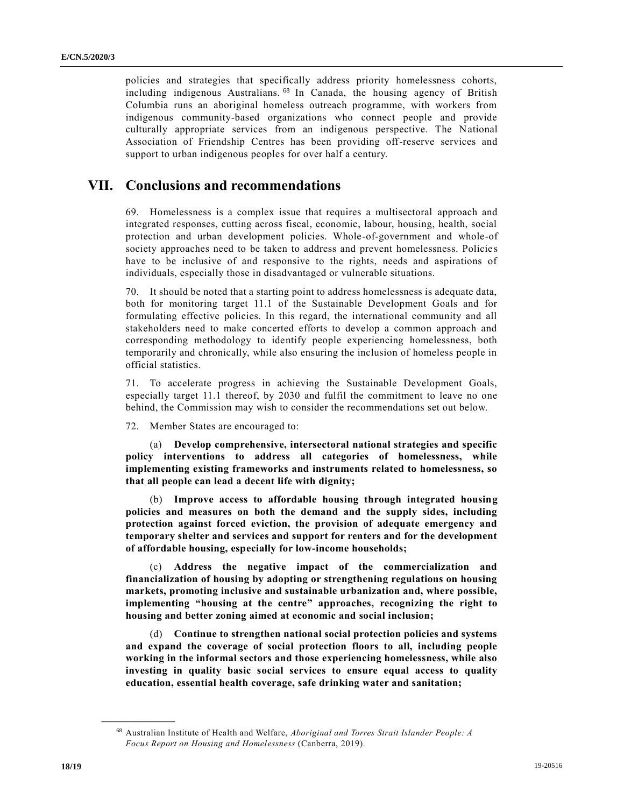policies and strategies that specifically address priority homelessness cohorts, including indigenous Australians. <sup>68</sup> In Canada, the housing agency of British Columbia runs an aboriginal homeless outreach programme, with workers from indigenous community-based organizations who connect people and provide culturally appropriate services from an indigenous perspective. The National Association of Friendship Centres has been providing off-reserve services and support to urban indigenous peoples for over half a century.

# **VII. Conclusions and recommendations**

69. Homelessness is a complex issue that requires a multisectoral approach and integrated responses, cutting across fiscal, economic, labour, housing, health, social protection and urban development policies. Whole-of-government and whole-of society approaches need to be taken to address and prevent homelessness. Policie s have to be inclusive of and responsive to the rights, needs and aspirations of individuals, especially those in disadvantaged or vulnerable situations.

70. It should be noted that a starting point to address homelessness is adequate data, both for monitoring target 11.1 of the Sustainable Development Goals and for formulating effective policies. In this regard, the international community and all stakeholders need to make concerted efforts to develop a common approach and corresponding methodology to identify people experiencing homelessness, both temporarily and chronically, while also ensuring the inclusion of homeless people in official statistics.

71. To accelerate progress in achieving the Sustainable Development Goals, especially target 11.1 thereof, by 2030 and fulfil the commitment to leave no one behind, the Commission may wish to consider the recommendations set out below.

72. Member States are encouraged to:

(a) **Develop comprehensive, intersectoral national strategies and specific policy interventions to address all categories of homelessness, while implementing existing frameworks and instruments related to homelessness, so that all people can lead a decent life with dignity;** 

(b) **Improve access to affordable housing through integrated housing policies and measures on both the demand and the supply sides, including protection against forced eviction, the provision of adequate emergency and temporary shelter and services and support for renters and for the development of affordable housing, especially for low-income households;**

(c) **Address the negative impact of the commercialization and financialization of housing by adopting or strengthening regulations on housing markets, promoting inclusive and sustainable urbanization and, where possible, implementing "housing at the centre" approaches, recognizing the right to housing and better zoning aimed at economic and social inclusion;** 

(d) **Continue to strengthen national social protection policies and systems and expand the coverage of social protection floors to all, including people working in the informal sectors and those experiencing homelessness, while also investing in quality basic social services to ensure equal access to quality education, essential health coverage, safe drinking water and sanitation;** 

<sup>68</sup> Australian Institute of Health and Welfare, *Aboriginal and Torres Strait Islander People: A Focus Report on Housing and Homelessness* (Canberra, 2019).